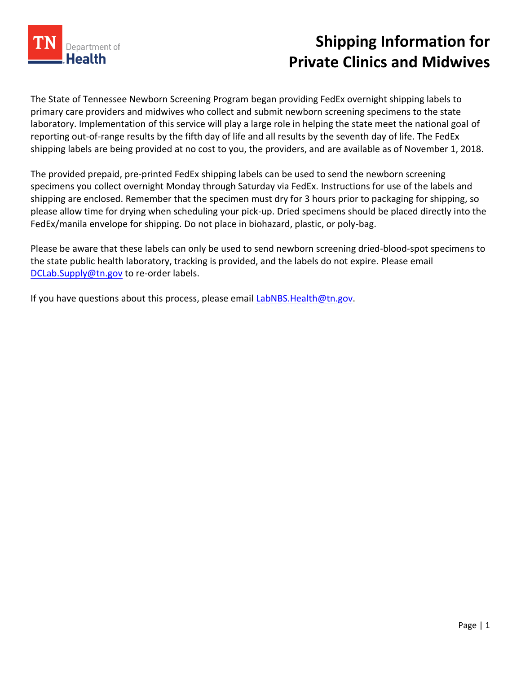

## **Shipping Information for Private Clinics and Midwives**

The State of Tennessee Newborn Screening Program began providing FedEx overnight shipping labels to primary care providers and midwives who collect and submit newborn screening specimens to the state laboratory. Implementation of this service will play a large role in helping the state meet the national goal of reporting out-of-range results by the fifth day of life and all results by the seventh day of life. The FedEx shipping labels are being provided at no cost to you, the providers, and are available as of November 1, 2018.

The provided prepaid, pre-printed FedEx shipping labels can be used to send the newborn screening specimens you collect overnight Monday through Saturday via FedEx. Instructions for use of the labels and shipping are enclosed. Remember that the specimen must dry for 3 hours prior to packaging for shipping, so please allow time for drying when scheduling your pick-up. Dried specimens should be placed directly into the FedEx/manila envelope for shipping. Do not place in biohazard, plastic, or poly-bag.

Please be aware that these labels can only be used to send newborn screening dried-blood-spot specimens to the state public health laboratory, tracking is provided, and the labels do not expire. Please email [DCLab.Supply@tn.gov](mailto:DCLab.Supply@tn.gov) to re-order labels.

If you have questions about this process, please email [LabNBS.Health@tn.gov.](mailto:LabNBS.Health@tn.gov)